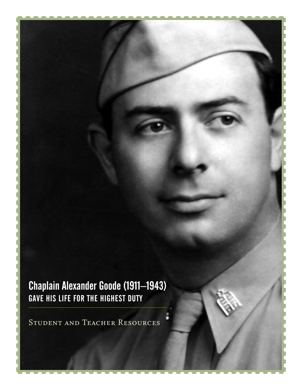Chaplain Alexander Goode (1911–1943) GAVE HIS LIFE FOR THE HIGHEST DUTY

STUDENT AND TEACHER RESOURCES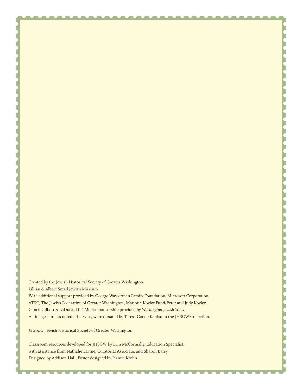Created by the Jewish Historical Society of Greater Washington Lillian & Albert Small Jewish Museum With additional support provided by George Wasserman Family Foundation, Microsoft Corporation, AT&T, The Jewish Federation of Greater Washington, Marjorie Kovler Fund/Peter and Judy Kovler, Cuneo Gilbert & LaDuca, LLP. Media sponsorship provided by *Washington Jewish Week*. All images, unless noted otherwise, were donated by Teresa Goode Kaplan to the JHSGW Collection.

© 2007. Jewish Historical Society of Greater Washington.

Classroom resources developed for JHSGW by Erin McCormally, Education Specialist, with assistance from Nathalie Lavine, Curatorial Associate, and Sharon Barry. Designed by Addison Hall. Poster designed by Jeanne Krohn.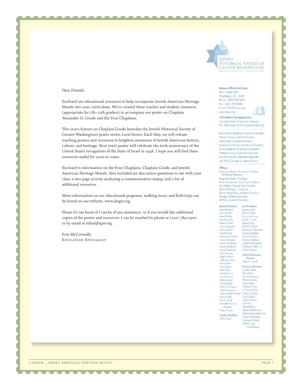

#### Dear Friends:

Enclosed are educational resources to help incorporate Jewish American Heritage Month into your curriculum. We've created these teacher and student resources (appropriate for  $7th$ -12th graders) to accompany our poster on Chaplain Alexander D. Goode and the Four Chaplains.

This year's feature on Chaplain Goode launches the Jewish Historical Society of Greater Washington's poster series, *Local Stories*. Each May, we will release teaching posters and resources to heighten awareness of Jewish American history, culture, and heritage. Next year's poster will celebrate the 60th anniversary of the United State's recognition of the State of Israel in 1948. I hope you will find these resources useful for years to come.

Enclosed is information on the Four Chaplains, Chaplain Goode, and Jewish American Heritage Month. Also included are discussion questions to use with your class, a two-page activity analyzing a commemorative stamp, and a list of additional resources.

More information on our educational programs, walking tours, and field trips can be found on our website, www.jhsgw.org.

Please let me know if I can be of any assistance, or if you would like additional copies of the poster and resources. I can be reached by phone at  $(202)$  789-0900 or by email at info@jhsgw.org.

Erin McCormally EDUCATION SPECIALIST

#### **Business Office & Archives:**

600 | Street, NW Washington, DC 20001 Phone: (202) 789-0900 Fox: (202) 789-0485 E-mail: info@jhsgw.org www.jhsgw.org

1876 Historic Synagogue Site:

A project of Save America's Treasure 701 Third Street, N.W. (corner of 3rd & G)

Laura Cohen Apelbaum, Executive Director Wendy Turman, Archivist/Curator Claire Uziel, Assistant Archivist Stephanie Silverstein, Director of Outreach Dione Goldman, Program Coordinator Nathalie Lavine, Curatorial Associate Erin McCormally, Education Specialist Joel Wind, Director of Administration

#### Officers

Aaron Goldman, Honorary President Of Blessed Memory Peggy Pearlstein, President Stuart Zuckerman, First Vice President Ann Belkov, Second Vice President Richard Neugass, Treasur Diane Wattenberg, Assistant Treasurer Margery Elsberg, Secretary Bill Rice, Assistant Secretary

**Board of Directors Past Presidents** Jane Abraham Leonard Abel Donna Bassin **Richard Alper** Steve Blacher Henry Brycwski David I., Burka Sam Brylawski Melissa Cahen Samuel Flax Langre England Frank B. Gilbert Arlene Epstein Bernard S. Glass Franklin Foer James Goldberg Maryann Friedman Paula Goldman **Tracey Gallagher** Michrael Galdstein Marcia Goldbarg Jonathan Grossman Jonice Goldblum William B. Wolf, Jr. Morgot Heckman Donald Welpe Linda Herman

Joseph Herson

Catherine Joyce

#### Chair of Honorary Directors Albert H. Small

Marty Kalin Arry Kaslow Saily Kline Kenneth Luchs Brenda Pascal Barbara Rein Clara Schiffer Ellen Sue Shapiro Todd Sherbocow Rabbi Matthew Si James Small Tina B. Small Mendelle Tourow Jock Kay Daniel Ma Woodley Gwen Zuores Society of Fellows Lillian Small

**Honorary Directors** Carolyn Alper<br>Flora Atlén Stuart Bindeman Florence Brody Ryna Cohen Sheldon Cohen 5. Robert Cohen Nancy Colodny Lois England Julian Feldman Sholom Shefferman Rabbi Stanley Rabinowitz Hubert Schlosberg **Hadassan Thursz** Stephen Joel Trochtenberg

© JHS GW · JEWISH AMERICAN HERITAGE MONTH AND THE RELEASED OF THE RELEASED OF THE RELEASED OF THE RELEASED OF T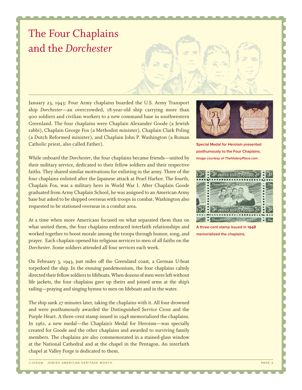# The Four Chaplains and the *Dorchester*

January 23, 1943: Four Army chaplains boarded the U.S. Army Transport ship *Dorchester*—an overcrowded, 18-year-old ship carrying more than 900 soldiers and civilian workers to a new command base in southwestern Greenland. The four chaplains were Chaplain Alexander Goode (a Jewish rabbi), Chaplain George Fox (a Methodist minister), Chaplain Clark Poling (a Dutch Reformed minister), and Chaplain John P. Washington (a Roman Catholic priest, also called Father).

While onboard the *Dorchester*, the four chaplains became friends—united by their military service, dedicated to their fellow soldiers and their respective faiths. They shared similar motivations for enlisting in the army. Three of the four chaplains enlisted after the Japanese attack at Pearl Harbor. The fourth, Chaplain Fox, was a military hero in World War I. After Chaplain Goode graduated from Army Chaplain School, he was assigned to an American Army base but asked to be shipped overseas with troops in combat. Washington also requested to be stationed overseas in a combat area.

At a time when more Americans focused on what separated them than on what united them, the four chaplains embraced interfaith relationships and worked together to boost morale among the troops through humor, song, and prayer. Each chaplain opened his religious services to men of all faiths on the *Dorchester*. Some soldiers attended all four services each week.

On February 3, 1943, just miles off the Greenland coast, a German U-boat torpedoed the ship. In the ensuing pandemonium, the four chaplains calmly directed their fellow soldiers to lifeboats. When dozens of men were left without life jackets, the four chaplains gave up theirs and joined arms at the ship's railing—praying and singing hymns to men on lifeboats and in the water.

The ship sank 27 minutes later, taking the chaplains with it. All four drowned and were posthumously awarded the Distinguished Service Cross and the Purple Heart. A three-cent stamp issued in 1948 memorialized the chaplains. In 1961, a new medal—the Chaplain's Medal for Heroism—was specially created for Goode and the other chaplains and awarded to surviving family members. The chaplains are also commemorated in a stained-glass window at the National Cathedral and at the chapel in the Pentagon. An interfaith chapel at Valley Forge is dedicated to them.



**Special Medal for Heroism presented posthumously to the Four Chaplains. Image courtesy of TheHistoryPlace.com**



**A three-cent stamp issued in 1948 memorialized the chaplains.**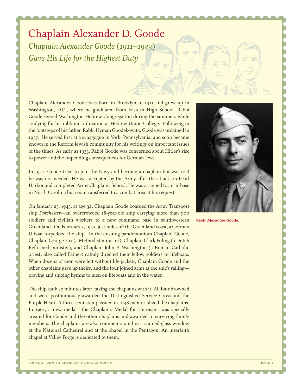## Chaplain Alexander D. Goode *Chaplain Alexander Goode* (*1911–1943*) *Gave His Life for the Highest Duty*

Chaplain Alexander Goode was born in Brooklyn in 1911 and grew up in Washington, D.C., where he graduated from Eastern High School. Rabbi Goode served Washington Hebrew Congregation during the summers while studying for his rabbinic ordination at Hebrew Union College. Following in the footsteps of his father, Rabbi Hyman Goodekowitz, Goode was ordained in 1937. He served first at a synagogue in York, Pennsylvania, and soon became known in the Reform Jewish community for his writings on important issues of the times. As early as 1933, Rabbi Goode was concerned about Hitler's rise to power and the impending consequences for German Jews.

In 1941, Goode tried to join the Navy and become a chaplain but was told he was not needed. He was accepted by the Army after the attack on Pearl Harbor and completed Army Chaplains School. He was assigned to an airbase in North Carolina but soon transferred to a combat area at his request.

On January 23, 1943, at age 32, Chaplain Goode boarded the Army Transport ship *Dorchester*—an overcrowded 18-year-old ship carrying more than 900 soldiers and civilian workers to a new command base in southwestern Greenland. On February 3, 1943, just miles off the Greenland coast, a German U-boat torpedoed the ship. In the ensuing pandemonium Chaplain Goode, Chaplain George Fox (a Methodist minister), Chaplain Clark Poling (a Dutch Reformed minister), and Chaplain John P. Washington (a Roman Catholic priest, also called Father) calmly directed their fellow soldiers to lifeboats. When dozens of men were left without life jackets, Chaplain Goode and the other chaplains gave up theirs, and the four joined arms at the ship's railing praying and singing hymns to men on lifeboats and in the water.

The ship sank 27 minutes later, taking the chaplains with it. All four drowned and were posthumously awarded the Distinguished Service Cross and the Purple Heart. A three-cent stamp issued in 1948 memorialized the chaplains. In 1961, a new medal—the Chaplain's Medal for Heroism—was specially created for Goode and the other chaplains and awarded to surviving family members. The chaplains are also commemorated in a stained-glass window at the National Cathedral and at the chapel in the Pentagon. An interfaith chapel at Valley Forge is dedicated to them.



**Rabbi Alexander Goode.**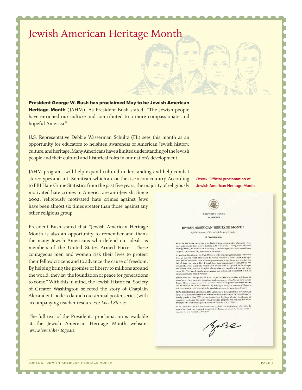## Jewish American Heritage Month

President George W. Bush has proclaimed May to be Jewish American Heritage Month (JAHM). As President Bush stated: "The Jewish people have enriched our culture and contributed to a more compassionate and hopeful America."

U.S. Representative Debbie Wasserman Schultz (FL) sees this month as an opportunity for educators to heighten awareness of American Jewish history, culture, and heritage. Many Americans have a limited understanding of the Jewish people and their cultural and historical roles in our nation's development.

JAHM programs will help expand cultural understanding and help combat stereotypes and anti-Semitism, which are on the rise in our country. According to FBI Hate Crime Statistics from the past five years, the majority of religiously motivated hate crimes in America are anti-Jewish. Since

2002, religiously motivated hate crimes against Jews have been almost six times greater than those against any other religious group.

President Bush stated that "Jewish American Heritage Month is also an opportunity to remember and thank the many Jewish Americans who defend our ideals as members of the United States Armed Forces. These courageous men and women risk their lives to protect their fellow citizens and to advance the cause of freedom. By helping bring the promise of liberty to millions around the world, they lay the foundation of peace for generations to come." With this in mind, the Jewish Historical Society of Greater Washington selected the story of Chaplain Alexander Goode to launch our annual poster series (with accompanying teacher resources): *Local Stories*.

The full text of the President's proclamation is available at the Jewish American Heritage Month website:  *www.jewishheritage.us*.

**Below: Official proclamation of Jewish American Heritage Month.**

THE WHITE HOUSE **WASHING** 

#### JEWISH AMERICAN HERITAGE MONTH

By the President of the United States of America A Proclamation

When the first Jewish settlers came to this land, they sought a place of promise where they could practice their faith in freedom and live in liberty. During Jewish American Heritage Morth, we ericlebrate the rich history

the great contributions they have mode to our country.<br>
As a national control and stronger because Jewish prople<br>
As a nation of irreducement be United States is better and strenger because Jewish prople<br>
from all over th

Jewish American Heritage Month is also an opportunity to remember and thank the nany Jewish Americans who defend our ideals as members of the United States Armed Forces. These courageous men and women risk their lives to protect their fellow citizen and to advance the cause of freedom. By helping to bring the promise of liberty to millions around the world, they lay the foundation of peace for generations to come.

NOW. THEREFORE, J. GEORGE W. BUSH, President of the United States of America, by NOW, FIEDLE DESIGNERS IN 1992 OF SURFACE IN THE CONDITION OF THE SURFACE OF THE SURFACE OF THE SURFACE OF THE SURFACE OF THE SURFACE OF THE SURFACE OF THE SURFACE OF THE SURFACE OF THE SURFACE OF THE SURFACE OF THE SURFACE

IN WITNESS WHEREOF, I have bereunto set my hand this twentieth day of April, in the gy with cases whenevect, it assessmess of the Independence of the United States of<br>America the two hundred and thirtieth.

Baze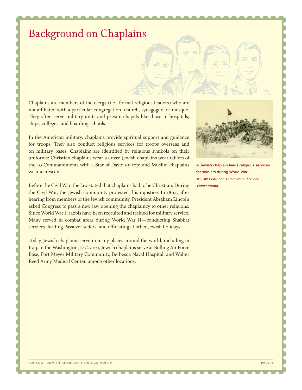## Background on Chaplains

Chaplains are members of the clergy (i.e., formal religious leaders) who are not affiliated with a particular congregation, church, synagogue, or mosque. They often serve military units and private chapels like those in hospitals, ships, colleges, and boarding schools.

In the American military, chaplains provide spiritual support and guidance for troops. They also conduct religious services for troops overseas and on military bases. Chaplains are identified by religious symbols on their uniforms: Christian chaplains wear a cross; Jewish chaplains wear tablets of the 10 Commandments with a Star of David on top; and Muslim chaplains wear a crescent.

Before the Civil War, the law stated that chaplains had to be Christian. During the Civil War, the Jewish community protested this injustice. In 1862, after hearing from members of the Jewish community, President Abraham Lincoln asked Congress to pass a new law opening the chaplaincy to other religions. Since World War I, rabbis have been recruited and trained for military service. Many served in combat areas during World War II-conducting Shabbat services, leading Passover seders, and officiating at other Jewish holidays.

Today, Jewish chaplains serve in many places around the world, including in Iraq. In the Washington, D.C. area, Jewish chaplains serve at Bolling Air Force Base, Fort Meyer Military Community, Bethesda Naval Hospital, and Walter Reed Army Medical Center, among other locations.



**A Jewish chaplain leads religious services for soldiers during World War II. JHSGW Collection. Gift of Rabbi Tzvi and Esther Porath.**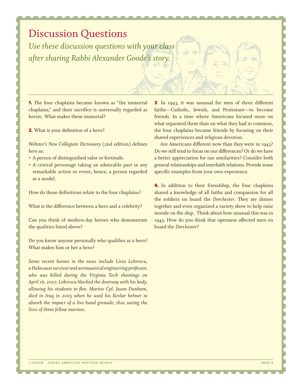### Discussion Questions

*Use these discussion questions with your class after sharing Rabbi Alexander Goode's story.*

1. The four chaplains became known as "the immortal chaplains," and their sacrifice is universally regarded as heroic. What makes them immortal?

2. What is your definition of a hero?

*Webster's New Collegiate Dictionary* (2nd edition) defines *hero* as:

- A person of distinguished valor or fortitude. •
- A central personage taking an admirable part in any remarkable action or event; hence, a person regarded as a model.

How do those definitions relate to the four chaplains?

What is the difference between a hero and a celebrity?

Can you think of modern-day heroes who demonstrate the qualities listed above?

Do you know anyone personally who qualifies as a hero? What makes him or her a hero?

*Some recent heroes in the news include Liviu Lebrescu, a Holocaust survivor and aeronautical engineering professor, who was killed during the Virginia Tech shootings on April 16, 2007. Lebrescu blocked the doorway with his body, allowing his students to flee. Marine Cpl. Jason Dunham, died in Iraq in 2005 when he used his Kevlar helmet to absorb the impact of a live hand grenade, thus saving the lives of three fellow marines.*

3. In 1943, it was unusual for men of three different faiths—Catholic, Jewish, and Protestant—to become friends. In a time where Americans focused more on what separated them than on what they had in common, the four chaplains became friends by focusing on their shared experiences and religious devotion.

Are Americans different now than they were in  $1943$ ? Do we still tend to focus on our differences? Or do we have a better appreciation for our similarities? Consider both general relationships and interfaith relations. Provide some specific examples from your own experience.

**4.** In addition to their friendship, the four chaplains shared a knowledge of all faiths and compassion for all the soldiers on board the *Dorchester*. They ate dinner together and even organized a variety show to help raise morale on the ship. Think about how unusual this was in 1943. How do you think that openness affected men on board the *Dorchester*?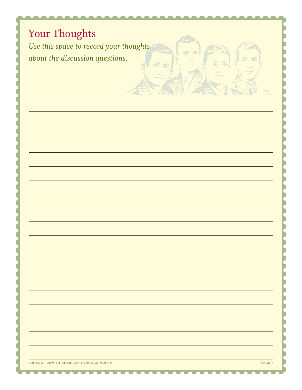## Your Thoughts *Use this space to record your thoughts about the discussion questions.*

e. v. V. V.

e i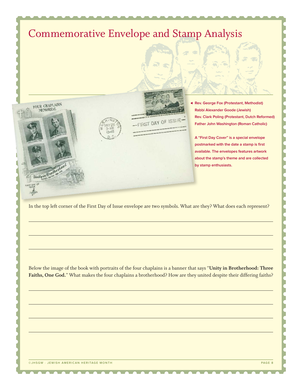

In the top left corner of the First Day of Issue envelope are two symbols. What are they? What does each represent?

Below the image of the book with portraits of the four chaplains is a banner that says "**Unity in Brotherhood: Three Faiths, One God.**" What makes the four chaplains a brotherhood? How are they united despite their differing faiths?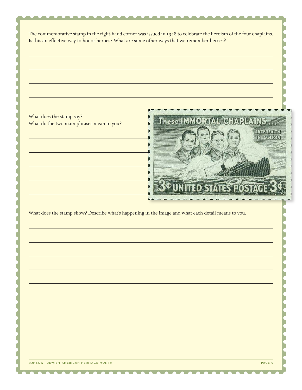The commemorative stamp in the right-hand corner was issued in 1948 to celebrate the heroism of the four chaplains. Is this an effective way to honor heroes? What are some other ways that we remember heroes?

What does the stamp say? What do the two main phrases mean to you?



What does the stamp show? Describe what's happening in the image and what each detail means to you.